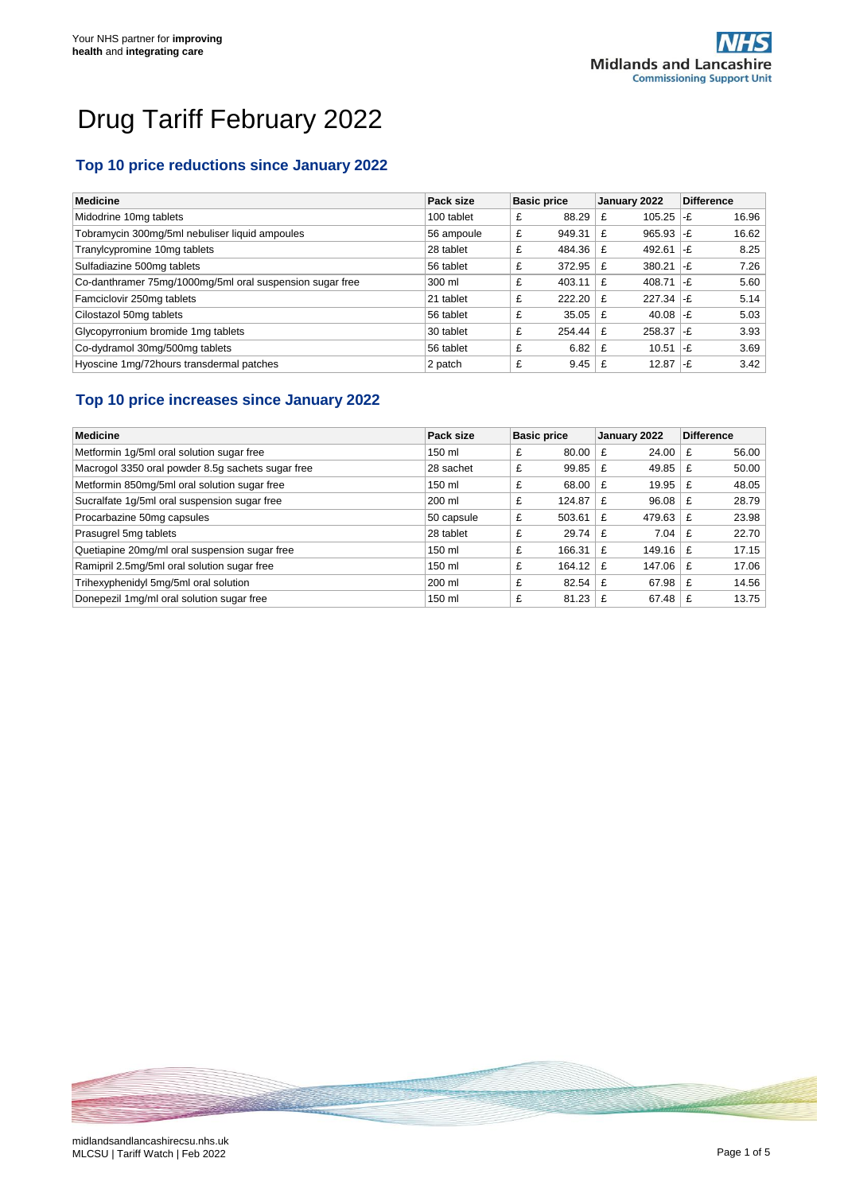# Drug Tariff February 2022

#### **Top 10 price reductions since January 2022**

| <b>Medicine</b>                                          | Pack size  | <b>Basic price</b> | January 2022                    | <b>Difference</b> |
|----------------------------------------------------------|------------|--------------------|---------------------------------|-------------------|
| Midodrine 10mg tablets                                   | 100 tablet | 88.29<br>£         | 105.25<br>£                     | 16.96<br>$ -f$    |
| Tobramycin 300mg/5ml nebuliser liquid ampoules           | 56 ampoule | £<br>949.31        | $965.93$ -£<br>£                | 16.62             |
| Tranylcypromine 10mg tablets                             | 28 tablet  | 484.36<br>£        | 492.61<br>£                     | 8.25<br>1-F       |
| Sulfadiazine 500mg tablets                               | 56 tablet  | 372.95<br>£        | $380.21$ -£<br>£                | 7.26              |
| Co-danthramer 75mg/1000mg/5ml oral suspension sugar free | 300 ml     | £<br>403.11        | 408.71 $\left  -E \right $<br>£ | 5.60              |
| Famciclovir 250mg tablets                                | 21 tablet  | £<br>222.20        | 227.34<br>£                     | 5.14<br>∣-£       |
| Cilostazol 50mg tablets                                  | 56 tablet  | £<br>35.05         | 40.08 $-E$<br>£                 | 5.03              |
| Glycopyrronium bromide 1mg tablets                       | 30 tablet  | £<br>254.44        | $258.37$ -£<br>£                | 3.93              |
| Co-dydramol 30mg/500mg tablets                           | 56 tablet  | 6.82<br>£          | 10.51<br>£                      | 3.69<br>$-F$      |
| Hyoscine 1mg/72hours transdermal patches                 | 2 patch    | £<br>9.45          | $12.87$ -£                      | 3.42              |

## **Top 10 price increases since January 2022**

| <b>Medicine</b>                                   | Pack size  | <b>Basic price</b> | January 2022 | <b>Difference</b> |
|---------------------------------------------------|------------|--------------------|--------------|-------------------|
| Metformin 1g/5ml oral solution sugar free         | 150 ml     | £<br>80.00         | 24.00<br>£   | 56.00<br>£        |
| Macrogol 3350 oral powder 8.5g sachets sugar free | 28 sachet  | £<br>99.85         | 49.85<br>£   | 50.00<br>£        |
| Metformin 850mg/5ml oral solution sugar free      | 150 ml     | £<br>68.00         | 19.95<br>£   | 48.05<br>£        |
| Sucralfate 1g/5ml oral suspension sugar free      | 200 ml     | £<br>124.87        | 96.08<br>£   | 28.79<br>£        |
| Procarbazine 50mg capsules                        | 50 capsule | £<br>503.61        | 479.63<br>£  | 23.98<br>£        |
| Prasugrel 5mg tablets                             | 28 tablet  | £<br>29.74         | 7.04<br>£    | 22.70<br>£        |
| Quetiapine 20mg/ml oral suspension sugar free     | 150 ml     | £<br>166.31        | 149.16<br>£  | 17.15<br>£        |
| Ramipril 2.5mg/5ml oral solution sugar free       | 150 ml     | £<br>164.12        | 147.06<br>£  | 17.06<br>£        |
| Trihexyphenidyl 5mg/5ml oral solution             | 200 ml     | £<br>82.54         | 67.98<br>£   | 14.56<br>£        |
| Donepezil 1mg/ml oral solution sugar free         | 150 ml     | £<br>81.23         | 67.48<br>£   | 13.75<br>£        |

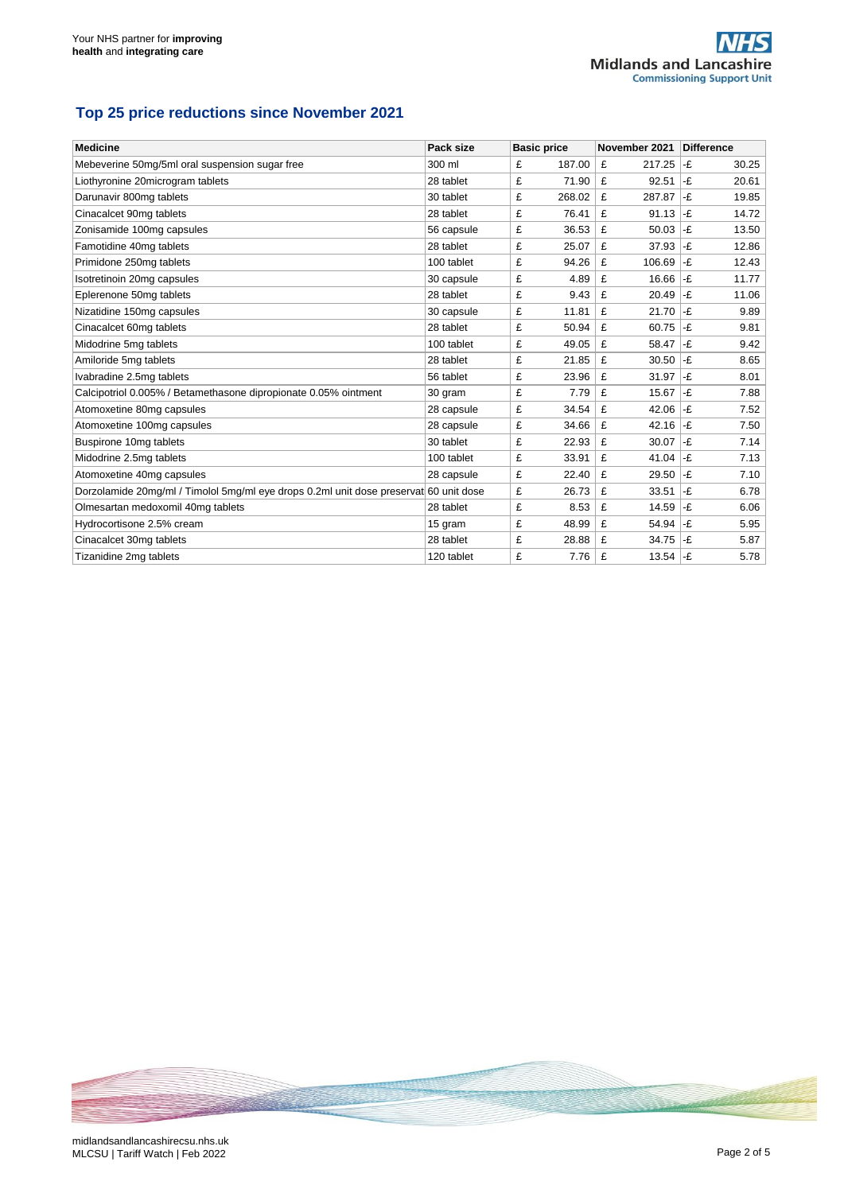## **Top 25 price reductions since November 2021**

| <b>Medicine</b>                                                                       | Pack size  | <b>Basic price</b> | November 2021 | <b>Difference</b> |
|---------------------------------------------------------------------------------------|------------|--------------------|---------------|-------------------|
| Mebeverine 50mg/5ml oral suspension sugar free                                        | 300 ml     | £<br>187.00        | £<br>217.25   | -£<br>30.25       |
| Liothyronine 20microgram tablets                                                      | 28 tablet  | 71.90<br>£         | £<br>92.51    | l-£<br>20.61      |
| Darunavir 800mg tablets                                                               | 30 tablet  | £<br>268.02        | £<br>287.87   | -£<br>19.85       |
| Cinacalcet 90mg tablets                                                               | 28 tablet  | £<br>76.41         | 91.13<br>£    | l-£<br>14.72      |
| Zonisamide 100mg capsules                                                             | 56 capsule | £<br>36.53         | £<br>50.03    | -£<br>13.50       |
| Famotidine 40mg tablets                                                               | 28 tablet  | £<br>25.07         | £<br>37.93    | l-£<br>12.86      |
| Primidone 250mg tablets                                                               | 100 tablet | £<br>94.26         | £<br>106.69   | l-£<br>12.43      |
| Isotretinoin 20mg capsules                                                            | 30 capsule | £<br>4.89          | £<br>16.66    | -£<br>11.77       |
| Eplerenone 50mg tablets                                                               | 28 tablet  | £<br>9.43          | £<br>20.49    | l-£<br>11.06      |
| Nizatidine 150mg capsules                                                             | 30 capsule | £<br>11.81         | £<br>21.70    | -£<br>9.89        |
| Cinacalcet 60mg tablets                                                               | 28 tablet  | £<br>50.94         | £<br>60.75    | -£<br>9.81        |
| Midodrine 5mg tablets                                                                 | 100 tablet | £<br>49.05         | £<br>58.47    | -£<br>9.42        |
| Amiloride 5mg tablets                                                                 | 28 tablet  | £<br>21.85         | £<br>30.50    | l-£<br>8.65       |
| Ivabradine 2.5mg tablets                                                              | 56 tablet  | £<br>23.96         | £<br>31.97    | -£<br>8.01        |
| Calcipotriol 0.005% / Betamethasone dipropionate 0.05% ointment                       | 30 gram    | £<br>7.79          | £<br>15.67    | -£<br>7.88        |
| Atomoxetine 80mg capsules                                                             | 28 capsule | £<br>34.54         | £<br>42.06    | l-£<br>7.52       |
| Atomoxetine 100mg capsules                                                            | 28 capsule | £<br>34.66         | 42.16<br>£    | l-£<br>7.50       |
| Buspirone 10mg tablets                                                                | 30 tablet  | £<br>22.93         | £<br>30.07    | l-£<br>7.14       |
| Midodrine 2.5mg tablets                                                               | 100 tablet | £<br>33.91         | £<br>41.04    | -£<br>7.13        |
| Atomoxetine 40mg capsules                                                             | 28 capsule | £<br>22.40         | £<br>29.50    | -£<br>7.10        |
| Dorzolamide 20mg/ml / Timolol 5mg/ml eye drops 0.2ml unit dose preservate60 unit dose |            | £<br>26.73         | £<br>33.51    | -£<br>6.78        |
| Olmesartan medoxomil 40mq tablets                                                     | 28 tablet  | £<br>8.53          | £<br>14.59    | l-£<br>6.06       |
| Hydrocortisone 2.5% cream                                                             | 15 gram    | £<br>48.99         | £<br>54.94    | -£<br>5.95        |
| Cinacalcet 30mg tablets                                                               | 28 tablet  | £<br>28.88         | £<br>34.75    | -£<br>5.87        |
| Tizanidine 2mg tablets                                                                | 120 tablet | £<br>7.76          | 13.54<br>£    | l-£<br>5.78       |

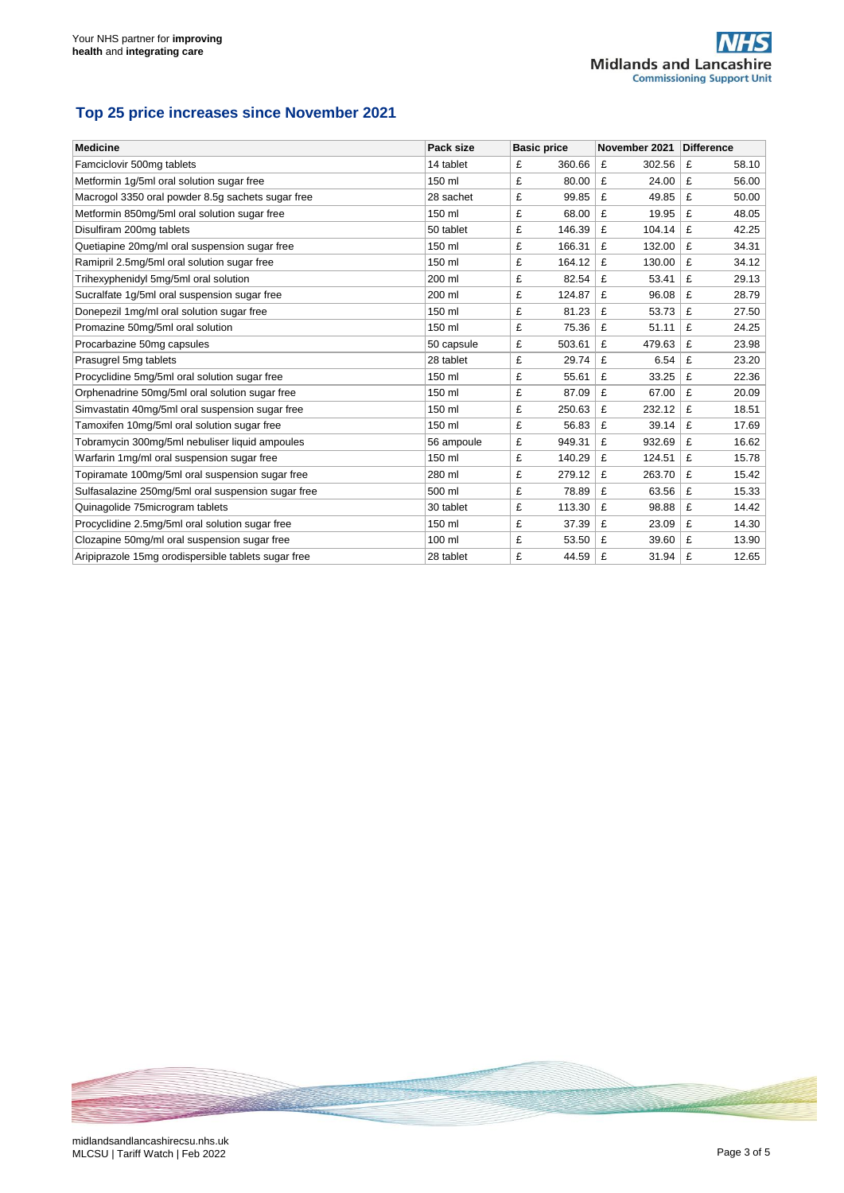#### **Top 25 price increases since November 2021**

| <b>Medicine</b>                                     | Pack size  | <b>Basic price</b> | November 2021 | Difference |
|-----------------------------------------------------|------------|--------------------|---------------|------------|
| Famciclovir 500mg tablets                           | 14 tablet  | £<br>360.66        | £<br>302.56   | £<br>58.10 |
| Metformin 1g/5ml oral solution sugar free           | 150 ml     | £<br>80.00         | £<br>24.00    | £<br>56.00 |
| Macrogol 3350 oral powder 8.5g sachets sugar free   | 28 sachet  | £<br>99.85         | £<br>49.85    | £<br>50.00 |
| Metformin 850mg/5ml oral solution sugar free        | 150 ml     | £<br>68.00         | £<br>19.95    | £<br>48.05 |
| Disulfiram 200mg tablets                            | 50 tablet  | £<br>146.39        | £<br>104.14   | £<br>42.25 |
| Quetiapine 20mg/ml oral suspension sugar free       | 150 ml     | £<br>166.31        | £<br>132.00   | £<br>34.31 |
| Ramipril 2.5mg/5ml oral solution sugar free         | 150 ml     | 164.12<br>£        | £<br>130.00   | £<br>34.12 |
| Trihexyphenidyl 5mg/5ml oral solution               | 200 ml     | 82.54<br>£         | 53.41<br>£    | £<br>29.13 |
| Sucralfate 1g/5ml oral suspension sugar free        | 200 ml     | £<br>124.87        | £<br>96.08    | £<br>28.79 |
| Donepezil 1mg/ml oral solution sugar free           | 150 ml     | £<br>81.23         | £<br>53.73    | £<br>27.50 |
| Promazine 50mg/5ml oral solution                    | 150 ml     | £<br>75.36         | £<br>51.11    | £<br>24.25 |
| Procarbazine 50mg capsules                          | 50 capsule | £<br>503.61        | £<br>479.63   | £<br>23.98 |
| Prasugrel 5mg tablets                               | 28 tablet  | £<br>29.74         | £<br>6.54     | £<br>23.20 |
| Procyclidine 5mg/5ml oral solution sugar free       | 150 ml     | £<br>55.61         | £<br>33.25    | £<br>22.36 |
| Orphenadrine 50mg/5ml oral solution sugar free      | 150 ml     | £<br>87.09         | £<br>67.00    | £<br>20.09 |
| Simvastatin 40mg/5ml oral suspension sugar free     | 150 ml     | £<br>250.63        | £<br>232.12   | £<br>18.51 |
| Tamoxifen 10mg/5ml oral solution sugar free         | 150 ml     | £<br>56.83         | £<br>39.14    | £<br>17.69 |
| Tobramycin 300mg/5ml nebuliser liquid ampoules      | 56 ampoule | £<br>949.31        | £<br>932.69   | £<br>16.62 |
| Warfarin 1mg/ml oral suspension sugar free          | 150 ml     | £<br>140.29        | £<br>124.51   | 15.78<br>£ |
| Topiramate 100mg/5ml oral suspension sugar free     | 280 ml     | £<br>279.12        | £<br>263.70   | £<br>15.42 |
| Sulfasalazine 250mg/5ml oral suspension sugar free  | 500 ml     | £<br>78.89         | £<br>63.56    | £<br>15.33 |
| Quinagolide 75 microgram tablets                    | 30 tablet  | £<br>113.30        | £<br>98.88    | £<br>14.42 |
| Procyclidine 2.5mg/5ml oral solution sugar free     | 150 ml     | £<br>37.39         | £<br>23.09    | £<br>14.30 |
| Clozapine 50mg/ml oral suspension sugar free        | 100 ml     | £<br>53.50         | £<br>39.60    | £<br>13.90 |
| Aripiprazole 15mg orodispersible tablets sugar free | 28 tablet  | £<br>44.59         | £<br>31.94    | £<br>12.65 |

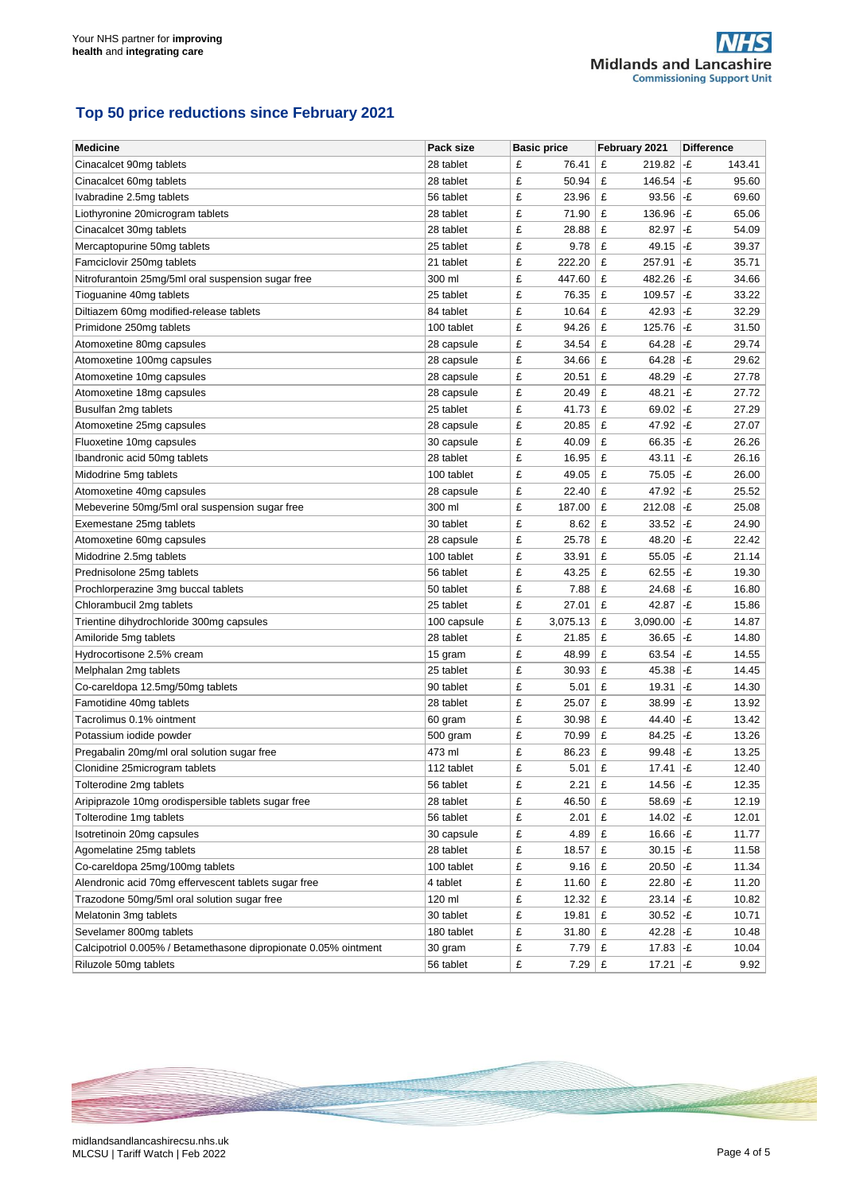## **Top 50 price reductions since February 2021**

| <b>Medicine</b>                                                 | Pack size   | <b>Basic price</b> | February 2021             | <b>Difference</b>      |
|-----------------------------------------------------------------|-------------|--------------------|---------------------------|------------------------|
| Cinacalcet 90mg tablets                                         | 28 tablet   | £<br>76.41         | £<br>219.82               | -£<br>143.41           |
| Cinacalcet 60mg tablets                                         | 28 tablet   | £<br>50.94         | £<br>146.54               | l-£<br>95.60           |
| Ivabradine 2.5mg tablets                                        | 56 tablet   | £<br>23.96         | £<br>93.56                | l-£<br>69.60           |
| Liothyronine 20microgram tablets                                | 28 tablet   | £<br>71.90         | £<br>136.96               | l-£<br>65.06           |
| Cinacalcet 30mg tablets                                         | 28 tablet   | £<br>28.88         | £<br>82.97                | -£<br>54.09            |
| Mercaptopurine 50mg tablets                                     | 25 tablet   | £<br>9.78          | £<br>49.15                | -£<br>39.37            |
| Famciclovir 250mg tablets                                       | 21 tablet   | 222.20<br>£        | £<br>257.91               | -£<br>35.71            |
| Nitrofurantoin 25mg/5ml oral suspension sugar free              | 300 ml      | £<br>447.60        | £<br>482.26               | -£<br>34.66            |
| Tioguanine 40mg tablets                                         | 25 tablet   | £<br>76.35         | £<br>109.57               | -£<br>33.22            |
| Diltiazem 60mg modified-release tablets                         | 84 tablet   | £<br>10.64         | £<br>42.93                | l-£<br>32.29           |
| Primidone 250mg tablets                                         | 100 tablet  | £<br>94.26         | £<br>125.76               | -£<br>31.50            |
| Atomoxetine 80mg capsules                                       | 28 capsule  | £<br>34.54         | £<br>64.28                | -£<br>29.74            |
| Atomoxetine 100mg capsules                                      | 28 capsule  | £<br>34.66         | £<br>64.28                | -£<br>29.62            |
| Atomoxetine 10mg capsules                                       | 28 capsule  | £<br>20.51         | £<br>48.29                | -£<br>27.78            |
| Atomoxetine 18mg capsules                                       | 28 capsule  | £<br>20.49         | £<br>48.21                | -£<br>27.72            |
| Busulfan 2mg tablets                                            | 25 tablet   | £<br>41.73         | £<br>69.02                | $ -E$<br>27.29         |
| Atomoxetine 25mg capsules                                       | 28 capsule  | £<br>20.85         | £<br>47.92                | l-£<br>27.07           |
| Fluoxetine 10mg capsules                                        | 30 capsule  | £<br>40.09         | £<br>66.35                | l-£<br>26.26           |
| Ibandronic acid 50mg tablets                                    | 28 tablet   | £<br>16.95         | £<br>43.11                | -£<br>26.16            |
| Midodrine 5mg tablets                                           | 100 tablet  | £<br>49.05         | £<br>75.05                | -£<br>26.00            |
| Atomoxetine 40mg capsules                                       | 28 capsule  | £<br>22.40         | £<br>47.92                | l-£<br>25.52           |
| Mebeverine 50mg/5ml oral suspension sugar free                  | 300 ml      | £<br>187.00        | £<br>212.08               | l-£<br>25.08           |
| Exemestane 25mg tablets                                         | 30 tablet   | £<br>8.62          | £<br>33.52                | $ \text{-}f $<br>24.90 |
| Atomoxetine 60mg capsules                                       | 28 capsule  | £<br>25.78         | £<br>48.20                | l-£<br>22.42           |
| Midodrine 2.5mg tablets                                         | 100 tablet  | £<br>33.91         | £<br>55.05                | -£<br>21.14            |
| Prednisolone 25mg tablets                                       | 56 tablet   | £<br>43.25         | £<br>62.55                | -£<br>19.30            |
| Prochlorperazine 3mg buccal tablets                             | 50 tablet   | £<br>7.88          | £<br>24.68                | -£<br>16.80            |
| Chlorambucil 2mg tablets                                        | 25 tablet   | £<br>27.01         | £<br>42.87                | -£<br>15.86            |
| Trientine dihydrochloride 300mg capsules                        | 100 capsule | £<br>3,075.13      | £<br>3,090.00             | l-£<br>14.87           |
| Amiloride 5mg tablets                                           | 28 tablet   | £<br>21.85         | £<br>36.65                | -£<br>14.80            |
| Hydrocortisone 2.5% cream                                       | 15 gram     | £<br>48.99         | £<br>63.54                | l-£<br>14.55           |
| Melphalan 2mg tablets                                           | 25 tablet   | £<br>30.93         | £<br>45.38                | -£<br>14.45            |
| Co-careldopa 12.5mg/50mg tablets                                | 90 tablet   | £<br>5.01          | £<br>19.31                | -£<br>14.30            |
| Famotidine 40mg tablets                                         | 28 tablet   | £<br>25.07         | £<br>38.99                | -£<br>13.92            |
| Tacrolimus 0.1% ointment                                        | 60 gram     | £<br>30.98         | £<br>44.40                | -£<br>13.42            |
| Potassium iodide powder                                         | 500 gram    | £<br>70.99         | £<br>84.25                | -£<br>13.26            |
| Pregabalin 20mg/ml oral solution sugar free                     | 473 ml      | £<br>86.23         | £<br>99.48                | -£<br>13.25            |
| Clonidine 25microgram tablets                                   | 112 tablet  | £<br>5.01          | £<br>17.41                | -£<br>12.40            |
| Tolterodine 2mg tablets                                         | 56 tablet   | £<br>2.21          | £<br>14.56                | -£<br>12.35            |
| Aripiprazole 10mg orodispersible tablets sugar free             | 28 tablet   | £<br>46.50         | £<br>58.69                | -£<br>12.19            |
| Tolterodine 1mg tablets                                         | 56 tablet   | £<br>2.01          | £<br>14.02 $\,$ -£        | 12.01                  |
| Isotretinoin 20mg capsules                                      | 30 capsule  | £<br>4.89          | £<br>16.66 $-E$           | 11.77                  |
| Agomelatine 25mg tablets                                        | 28 tablet   | £<br>18.57         | £<br>30.15                | $ -E$<br>11.58         |
| Co-careldopa 25mg/100mg tablets                                 | 100 tablet  | £<br>9.16          | £<br>20.50                | -£<br>11.34            |
| Alendronic acid 70mg effervescent tablets sugar free            | 4 tablet    | £<br>11.60         | £<br>22.80                | l-£<br>11.20           |
| Trazodone 50mg/5ml oral solution sugar free                     | 120 ml      | £<br>12.32         | £<br>23.14                | -£<br>10.82            |
| Melatonin 3mg tablets                                           | 30 tablet   | £<br>19.81         | £<br>30.52                | ∣-£<br>10.71           |
| Sevelamer 800mg tablets                                         | 180 tablet  | £<br>31.80         | £<br>42.28 $-F$           | 10.48                  |
| Calcipotriol 0.005% / Betamethasone dipropionate 0.05% ointment | 30 gram     | £<br>7.79          | $17.83$ -£<br>£           | 10.04                  |
| Riluzole 50mg tablets                                           | 56 tablet   | £<br>$7.29$ £      | 17.21 $\left  -E \right $ | 9.92                   |